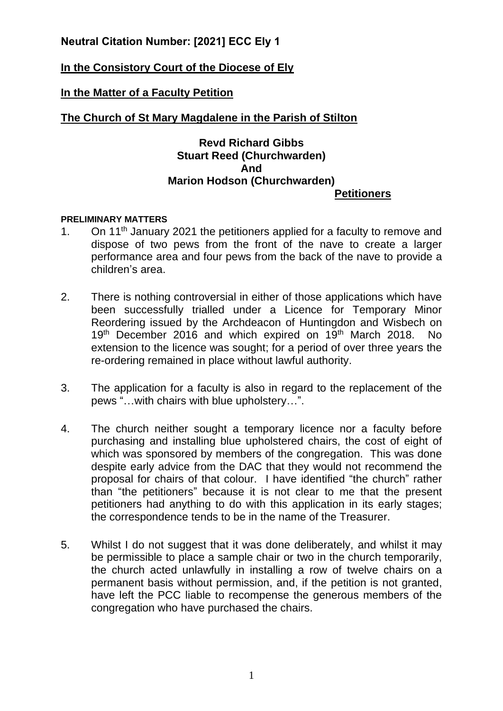# **Neutral Citation Number: [2021] ECC Ely 1**

# **In the Consistory Court of the Diocese of Ely**

## **In the Matter of a Faculty Petition**

## **The Church of St Mary Magdalene in the Parish of Stilton**

### **Revd Richard Gibbs Stuart Reed (Churchwarden) And Marion Hodson (Churchwarden) Petitioners**

#### **PRELIMINARY MATTERS**

- 1. On 11<sup>th</sup> January 2021 the petitioners applied for a faculty to remove and dispose of two pews from the front of the nave to create a larger performance area and four pews from the back of the nave to provide a children's area.
- 2. There is nothing controversial in either of those applications which have been successfully trialled under a Licence for Temporary Minor Reordering issued by the Archdeacon of Huntingdon and Wisbech on 19<sup>th</sup> December 2016 and which expired on 19<sup>th</sup> March 2018. No extension to the licence was sought; for a period of over three years the re-ordering remained in place without lawful authority.
- 3. The application for a faculty is also in regard to the replacement of the pews "…with chairs with blue upholstery…".
- 4. The church neither sought a temporary licence nor a faculty before purchasing and installing blue upholstered chairs, the cost of eight of which was sponsored by members of the congregation. This was done despite early advice from the DAC that they would not recommend the proposal for chairs of that colour. I have identified "the church" rather than "the petitioners" because it is not clear to me that the present petitioners had anything to do with this application in its early stages; the correspondence tends to be in the name of the Treasurer.
- 5. Whilst I do not suggest that it was done deliberately, and whilst it may be permissible to place a sample chair or two in the church temporarily, the church acted unlawfully in installing a row of twelve chairs on a permanent basis without permission, and, if the petition is not granted, have left the PCC liable to recompense the generous members of the congregation who have purchased the chairs.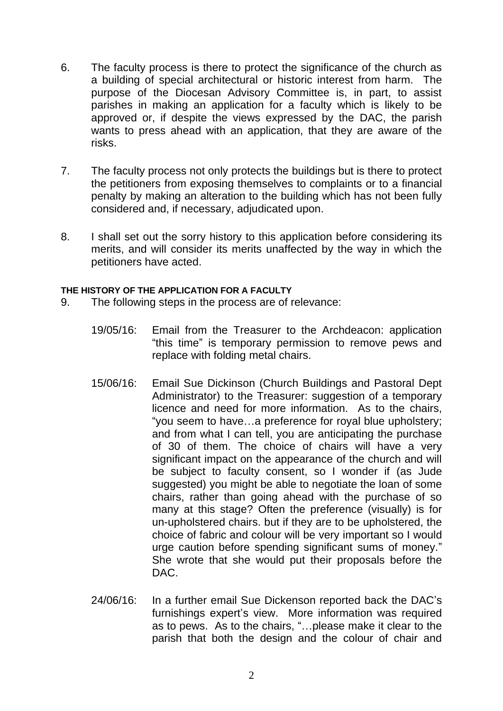- 6. The faculty process is there to protect the significance of the church as a building of special architectural or historic interest from harm. The purpose of the Diocesan Advisory Committee is, in part, to assist parishes in making an application for a faculty which is likely to be approved or, if despite the views expressed by the DAC, the parish wants to press ahead with an application, that they are aware of the risks.
- 7. The faculty process not only protects the buildings but is there to protect the petitioners from exposing themselves to complaints or to a financial penalty by making an alteration to the building which has not been fully considered and, if necessary, adjudicated upon.
- 8. I shall set out the sorry history to this application before considering its merits, and will consider its merits unaffected by the way in which the petitioners have acted.

#### **THE HISTORY OF THE APPLICATION FOR A FACULTY**

- 9. The following steps in the process are of relevance:
	- 19/05/16: Email from the Treasurer to the Archdeacon: application "this time" is temporary permission to remove pews and replace with folding metal chairs.
	- 15/06/16: Email Sue Dickinson (Church Buildings and Pastoral Dept Administrator) to the Treasurer: suggestion of a temporary licence and need for more information. As to the chairs, "you seem to have…a preference for royal blue upholstery; and from what I can tell, you are anticipating the purchase of 30 of them. The choice of chairs will have a very significant impact on the appearance of the church and will be subject to faculty consent, so I wonder if (as Jude suggested) you might be able to negotiate the loan of some chairs, rather than going ahead with the purchase of so many at this stage? Often the preference (visually) is for un-upholstered chairs. but if they are to be upholstered, the choice of fabric and colour will be very important so I would urge caution before spending significant sums of money." She wrote that she would put their proposals before the DAC.
	- 24/06/16: In a further email Sue Dickenson reported back the DAC's furnishings expert's view. More information was required as to pews. As to the chairs, "…please make it clear to the parish that both the design and the colour of chair and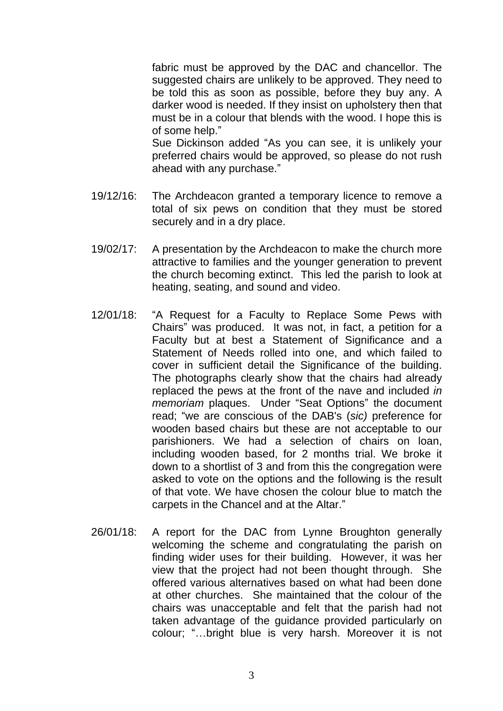fabric must be approved by the DAC and chancellor. The suggested chairs are unlikely to be approved. They need to be told this as soon as possible, before they buy any. A darker wood is needed. If they insist on upholstery then that must be in a colour that blends with the wood. I hope this is of some help."

Sue Dickinson added "As you can see, it is unlikely your preferred chairs would be approved, so please do not rush ahead with any purchase."

- 19/12/16: The Archdeacon granted a temporary licence to remove a total of six pews on condition that they must be stored securely and in a dry place.
- 19/02/17: A presentation by the Archdeacon to make the church more attractive to families and the younger generation to prevent the church becoming extinct. This led the parish to look at heating, seating, and sound and video.
- 12/01/18: "A Request for a Faculty to Replace Some Pews with Chairs" was produced. It was not, in fact, a petition for a Faculty but at best a Statement of Significance and a Statement of Needs rolled into one, and which failed to cover in sufficient detail the Significance of the building. The photographs clearly show that the chairs had already replaced the pews at the front of the nave and included *in memoriam* plaques. Under "Seat Options" the document read; "we are conscious of the DAB's (*sic)* preference for wooden based chairs but these are not acceptable to our parishioners. We had a selection of chairs on loan, including wooden based, for 2 months trial. We broke it down to a shortlist of 3 and from this the congregation were asked to vote on the options and the following is the result of that vote. We have chosen the colour blue to match the carpets in the Chancel and at the Altar."
- 26/01/18: A report for the DAC from Lynne Broughton generally welcoming the scheme and congratulating the parish on finding wider uses for their building. However, it was her view that the project had not been thought through. She offered various alternatives based on what had been done at other churches. She maintained that the colour of the chairs was unacceptable and felt that the parish had not taken advantage of the guidance provided particularly on colour; "…bright blue is very harsh. Moreover it is not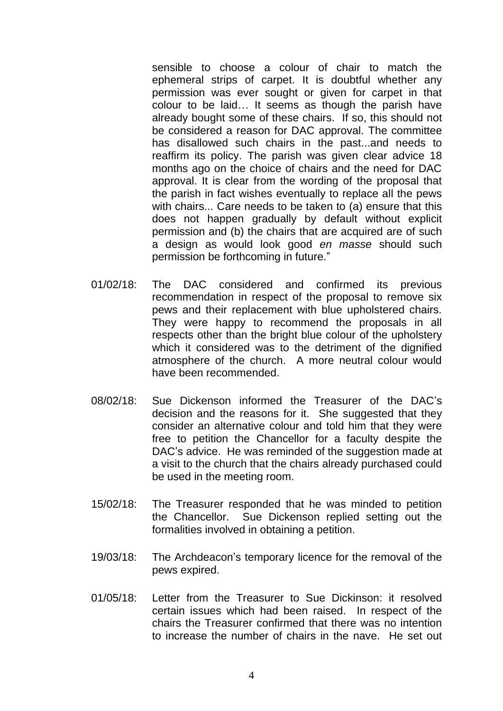sensible to choose a colour of chair to match the ephemeral strips of carpet. It is doubtful whether any permission was ever sought or given for carpet in that colour to be laid… It seems as though the parish have already bought some of these chairs. If so, this should not be considered a reason for DAC approval. The committee has disallowed such chairs in the past...and needs to reaffirm its policy. The parish was given clear advice 18 months ago on the choice of chairs and the need for DAC approval. It is clear from the wording of the proposal that the parish in fact wishes eventually to replace all the pews with chairs... Care needs to be taken to (a) ensure that this does not happen gradually by default without explicit permission and (b) the chairs that are acquired are of such a design as would look good *en masse* should such permission be forthcoming in future."

- 01/02/18: The DAC considered and confirmed its previous recommendation in respect of the proposal to remove six pews and their replacement with blue upholstered chairs. They were happy to recommend the proposals in all respects other than the bright blue colour of the upholstery which it considered was to the detriment of the dignified atmosphere of the church. A more neutral colour would have been recommended.
- 08/02/18: Sue Dickenson informed the Treasurer of the DAC's decision and the reasons for it. She suggested that they consider an alternative colour and told him that they were free to petition the Chancellor for a faculty despite the DAC's advice. He was reminded of the suggestion made at a visit to the church that the chairs already purchased could be used in the meeting room.
- 15/02/18: The Treasurer responded that he was minded to petition the Chancellor. Sue Dickenson replied setting out the formalities involved in obtaining a petition.
- 19/03/18: The Archdeacon's temporary licence for the removal of the pews expired.
- 01/05/18: Letter from the Treasurer to Sue Dickinson: it resolved certain issues which had been raised. In respect of the chairs the Treasurer confirmed that there was no intention to increase the number of chairs in the nave. He set out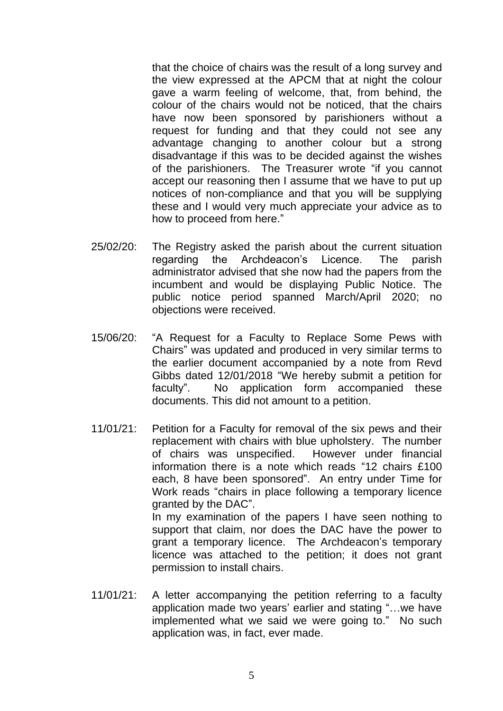that the choice of chairs was the result of a long survey and the view expressed at the APCM that at night the colour gave a warm feeling of welcome, that, from behind, the colour of the chairs would not be noticed, that the chairs have now been sponsored by parishioners without a request for funding and that they could not see any advantage changing to another colour but a strong disadvantage if this was to be decided against the wishes of the parishioners. The Treasurer wrote "if you cannot accept our reasoning then I assume that we have to put up notices of non-compliance and that you will be supplying these and I would very much appreciate your advice as to how to proceed from here."

- 25/02/20: The Registry asked the parish about the current situation regarding the Archdeacon's Licence. The parish administrator advised that she now had the papers from the incumbent and would be displaying Public Notice. The public notice period spanned March/April 2020; no objections were received.
- 15/06/20: "A Request for a Faculty to Replace Some Pews with Chairs" was updated and produced in very similar terms to the earlier document accompanied by a note from Revd Gibbs dated 12/01/2018 "We hereby submit a petition for faculty". No application form accompanied these documents. This did not amount to a petition.
- 11/01/21: Petition for a Faculty for removal of the six pews and their replacement with chairs with blue upholstery. The number of chairs was unspecified. However under financial information there is a note which reads "12 chairs £100 each, 8 have been sponsored". An entry under Time for Work reads "chairs in place following a temporary licence granted by the DAC". In my examination of the papers I have seen nothing to support that claim, nor does the DAC have the power to grant a temporary licence. The Archdeacon's temporary
- 11/01/21: A letter accompanying the petition referring to a faculty application made two years' earlier and stating "…we have implemented what we said we were going to." No such application was, in fact, ever made.

licence was attached to the petition; it does not grant

permission to install chairs.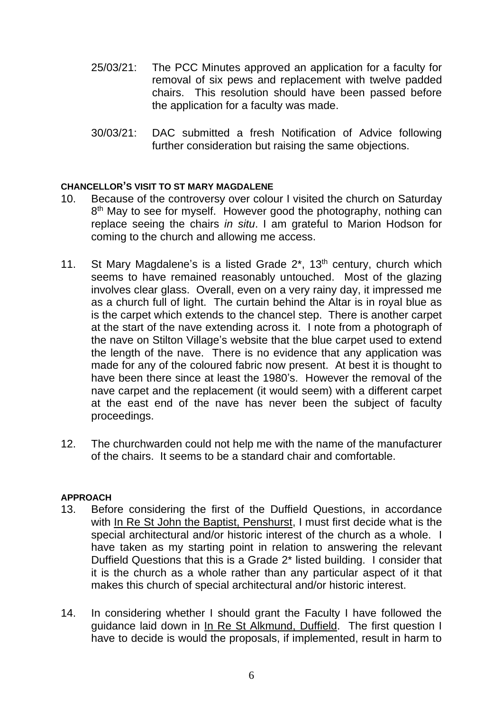- 25/03/21: The PCC Minutes approved an application for a faculty for removal of six pews and replacement with twelve padded chairs. This resolution should have been passed before the application for a faculty was made.
- 30/03/21: DAC submitted a fresh Notification of Advice following further consideration but raising the same objections.

### **CHANCELLOR'S VISIT TO ST MARY MAGDALENE**

- 10. Because of the controversy over colour I visited the church on Saturday 8<sup>th</sup> May to see for myself. However good the photography, nothing can replace seeing the chairs *in situ*. I am grateful to Marion Hodson for coming to the church and allowing me access.
- 11. St Mary Magdalene's is a listed Grade  $2^*$ , 13<sup>th</sup> century, church which seems to have remained reasonably untouched. Most of the glazing involves clear glass. Overall, even on a very rainy day, it impressed me as a church full of light. The curtain behind the Altar is in royal blue as is the carpet which extends to the chancel step. There is another carpet at the start of the nave extending across it. I note from a photograph of the nave on Stilton Village's website that the blue carpet used to extend the length of the nave. There is no evidence that any application was made for any of the coloured fabric now present. At best it is thought to have been there since at least the 1980's. However the removal of the nave carpet and the replacement (it would seem) with a different carpet at the east end of the nave has never been the subject of faculty proceedings.
- 12. The churchwarden could not help me with the name of the manufacturer of the chairs. It seems to be a standard chair and comfortable.

#### **APPROACH**

- 13. Before considering the first of the Duffield Questions, in accordance with In Re St John the Baptist, Penshurst, I must first decide what is the special architectural and/or historic interest of the church as a whole. I have taken as my starting point in relation to answering the relevant Duffield Questions that this is a Grade 2\* listed building. I consider that it is the church as a whole rather than any particular aspect of it that makes this church of special architectural and/or historic interest.
- 14. In considering whether I should grant the Faculty I have followed the guidance laid down in In Re St Alkmund, Duffield. The first question I have to decide is would the proposals, if implemented, result in harm to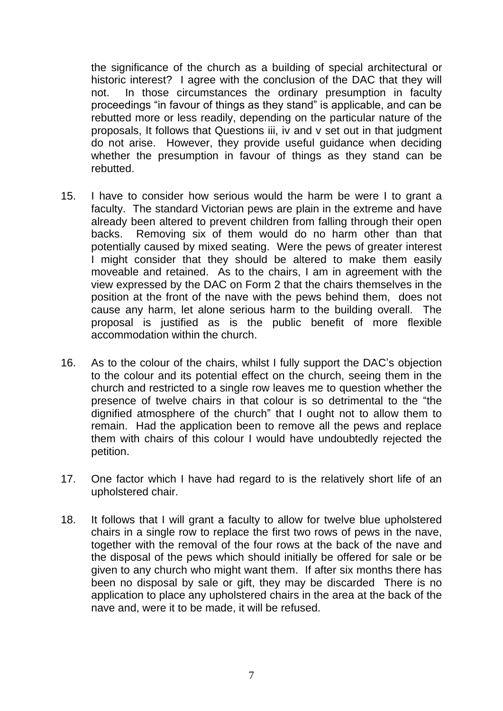the significance of the church as a building of special architectural or historic interest? I agree with the conclusion of the DAC that they will not. In those circumstances the ordinary presumption in faculty proceedings "in favour of things as they stand" is applicable, and can be rebutted more or less readily, depending on the particular nature of the proposals, It follows that Questions iii, iv and v set out in that judgment do not arise. However, they provide useful guidance when deciding whether the presumption in favour of things as they stand can be rebutted.

- 15. I have to consider how serious would the harm be were I to grant a faculty. The standard Victorian pews are plain in the extreme and have already been altered to prevent children from falling through their open backs. Removing six of them would do no harm other than that potentially caused by mixed seating. Were the pews of greater interest I might consider that they should be altered to make them easily moveable and retained. As to the chairs, I am in agreement with the view expressed by the DAC on Form 2 that the chairs themselves in the position at the front of the nave with the pews behind them, does not cause any harm, let alone serious harm to the building overall. The proposal is justified as is the public benefit of more flexible accommodation within the church.
- 16. As to the colour of the chairs, whilst I fully support the DAC's objection to the colour and its potential effect on the church, seeing them in the church and restricted to a single row leaves me to question whether the presence of twelve chairs in that colour is so detrimental to the "the dignified atmosphere of the church" that I ought not to allow them to remain. Had the application been to remove all the pews and replace them with chairs of this colour I would have undoubtedly rejected the petition.
- 17. One factor which I have had regard to is the relatively short life of an upholstered chair.
- 18. It follows that I will grant a faculty to allow for twelve blue upholstered chairs in a single row to replace the first two rows of pews in the nave, together with the removal of the four rows at the back of the nave and the disposal of the pews which should initially be offered for sale or be given to any church who might want them. If after six months there has been no disposal by sale or gift, they may be discarded There is no application to place any upholstered chairs in the area at the back of the nave and, were it to be made, it will be refused.